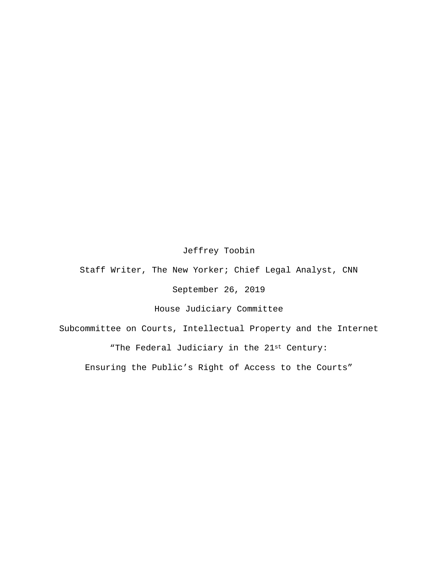## Jeffrey Toobin

Staff Writer, The New Yorker; Chief Legal Analyst, CNN

September 26, 2019

House Judiciary Committee

Subcommittee on Courts, Intellectual Property and the Internet "The Federal Judiciary in the 21st Century: Ensuring the Public's Right of Access to the Courts"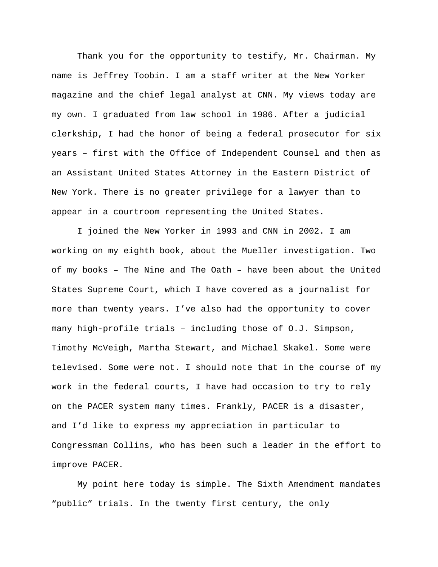Thank you for the opportunity to testify, Mr. Chairman. My name is Jeffrey Toobin. I am a staff writer at the New Yorker magazine and the chief legal analyst at CNN. My views today are my own. I graduated from law school in 1986. After a judicial clerkship, I had the honor of being a federal prosecutor for six years – first with the Office of Independent Counsel and then as an Assistant United States Attorney in the Eastern District of New York. There is no greater privilege for a lawyer than to appear in a courtroom representing the United States.

I joined the New Yorker in 1993 and CNN in 2002. I am working on my eighth book, about the Mueller investigation. Two of my books – The Nine and The Oath – have been about the United States Supreme Court, which I have covered as a journalist for more than twenty years. I've also had the opportunity to cover many high-profile trials – including those of O.J. Simpson, Timothy McVeigh, Martha Stewart, and Michael Skakel. Some were televised. Some were not. I should note that in the course of my work in the federal courts, I have had occasion to try to rely on the PACER system many times. Frankly, PACER is a disaster, and I'd like to express my appreciation in particular to Congressman Collins, who has been such a leader in the effort to improve PACER.

My point here today is simple. The Sixth Amendment mandates "public" trials. In the twenty first century, the only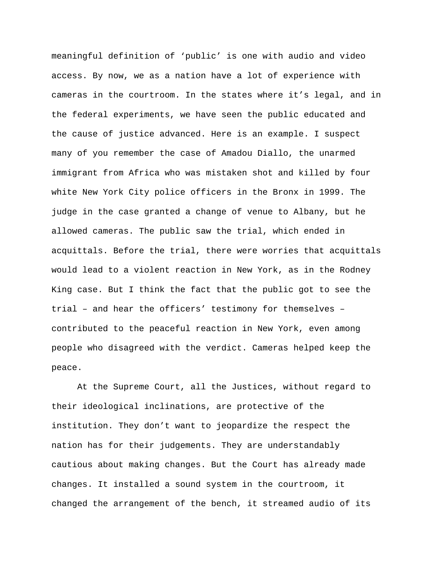meaningful definition of 'public' is one with audio and video access. By now, we as a nation have a lot of experience with cameras in the courtroom. In the states where it's legal, and in the federal experiments, we have seen the public educated and the cause of justice advanced. Here is an example. I suspect many of you remember the case of Amadou Diallo, the unarmed immigrant from Africa who was mistaken shot and killed by four white New York City police officers in the Bronx in 1999. The judge in the case granted a change of venue to Albany, but he allowed cameras. The public saw the trial, which ended in acquittals. Before the trial, there were worries that acquittals would lead to a violent reaction in New York, as in the Rodney King case. But I think the fact that the public got to see the trial – and hear the officers' testimony for themselves – contributed to the peaceful reaction in New York, even among people who disagreed with the verdict. Cameras helped keep the peace.

At the Supreme Court, all the Justices, without regard to their ideological inclinations, are protective of the institution. They don't want to jeopardize the respect the nation has for their judgements. They are understandably cautious about making changes. But the Court has already made changes. It installed a sound system in the courtroom, it changed the arrangement of the bench, it streamed audio of its